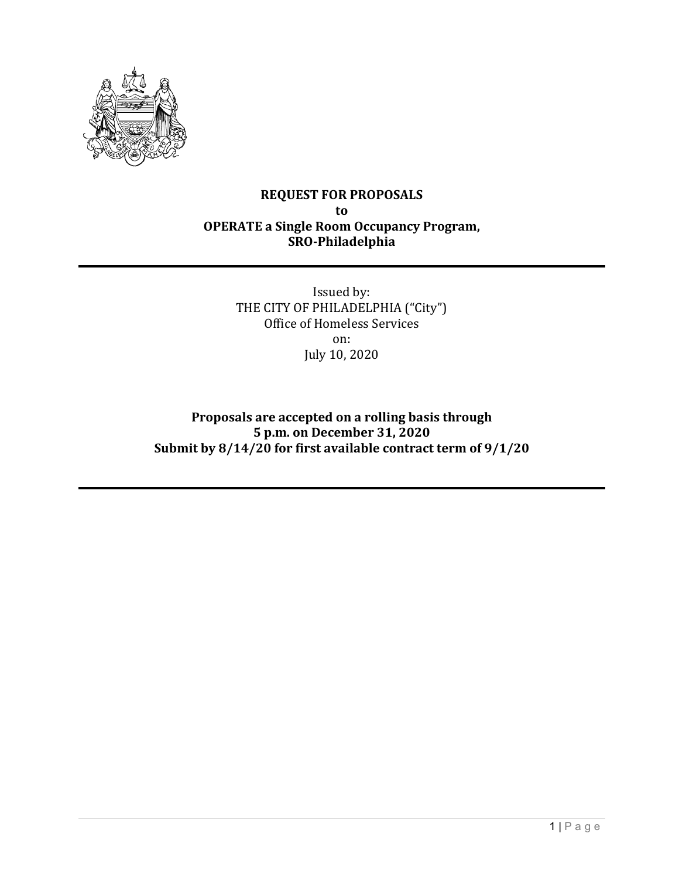

#### **REQUEST FOR PROPOSALS to OPERATE a Single Room Occupancy Program, SRO-Philadelphia**

Issued by: THE CITY OF PHILADELPHIA ("City") Office of Homeless Services on: July 10, 2020

**Proposals are accepted on a rolling basis through 5 p.m. on December 31, 2020 Submit by 8/14/20 for first available contract term of 9/1/20**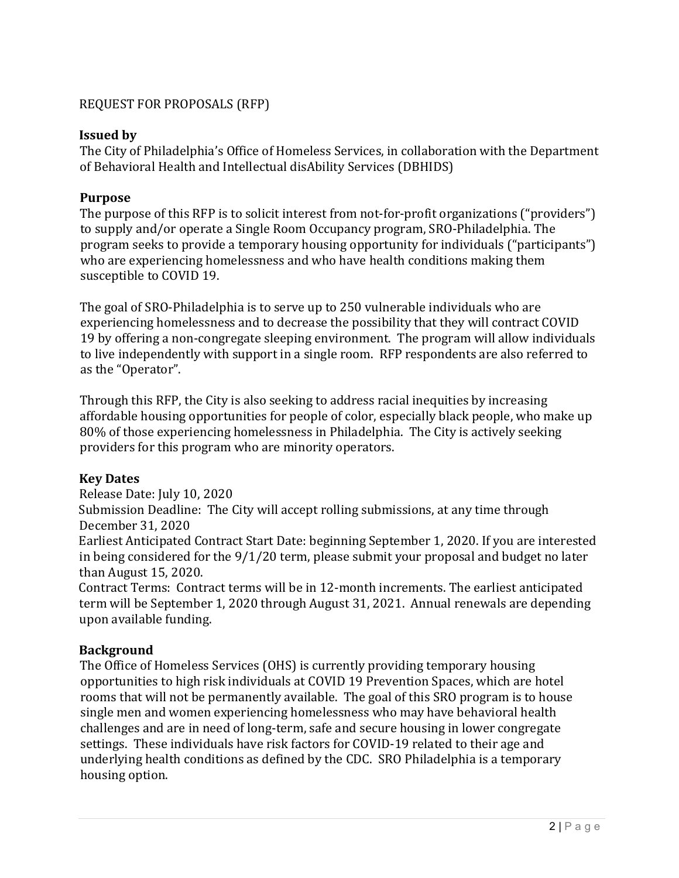#### REQUEST FOR PROPOSALS (RFP)

#### **Issued by**

The City of Philadelphia's Office of Homeless Services, in collaboration with the Department of Behavioral Health and Intellectual disAbility Services (DBHIDS)

#### **Purpose**

The purpose of this RFP is to solicit interest from not-for-profit organizations ("providers") to supply and/or operate a Single Room Occupancy program, SRO-Philadelphia. The program seeks to provide a temporary housing opportunity for individuals ("participants") who are experiencing homelessness and who have health conditions making them susceptible to COVID 19.

The goal of SRO-Philadelphia is to serve up to 250 vulnerable individuals who are experiencing homelessness and to decrease the possibility that they will contract COVID 19 by offering a non-congregate sleeping environment. The program will allow individuals to live independently with support in a single room. RFP respondents are also referred to as the "Operator".

Through this RFP, the City is also seeking to address racial inequities by increasing affordable housing opportunities for people of color, especially black people, who make up 80% of those experiencing homelessness in Philadelphia. The City is actively seeking providers for this program who are minority operators.

#### **Key Dates**

Release Date: July 10, 2020

Submission Deadline: The City will accept rolling submissions, at any time through December 31, 2020

Earliest Anticipated Contract Start Date: beginning September 1, 2020. If you are interested in being considered for the 9/1/20 term, please submit your proposal and budget no later than August 15, 2020.

Contract Terms: Contract terms will be in 12-month increments. The earliest anticipated term will be September 1, 2020 through August 31, 2021. Annual renewals are depending upon available funding.

#### **Background**

The Office of Homeless Services (OHS) is currently providing temporary housing opportunities to high risk individuals at COVID 19 Prevention Spaces, which are hotel rooms that will not be permanently available. The goal of this SRO program is to house single men and women experiencing homelessness who may have behavioral health challenges and are in need of long-term, safe and secure housing in lower congregate settings. These individuals have risk factors for COVID-19 related to their age and underlying health conditions as defined by the CDC. SRO Philadelphia is a temporary housing option.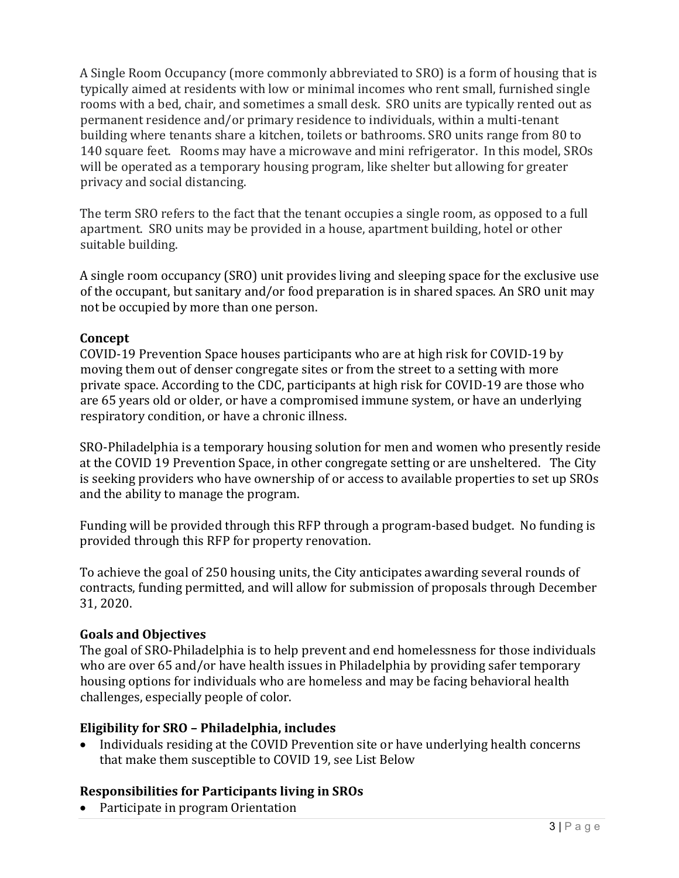A Single Room Occupancy (more commonly abbreviated to SRO) is a form of housing that is typically aimed at residents with low or minimal incomes who rent small, furnished single rooms with a bed, chair, and sometimes a small desk. SRO units are typically rented out as permanent residence and/or primary residence to individuals, within a multi-tenant building where tenants share a kitchen, toilets or bathrooms. SRO units range from 80 to 140 square feet. Rooms may have a microwave and mini refrigerator. In this model, SROs will be operated as a temporary housing program, like shelter but allowing for greater privacy and social distancing.

The term SRO refers to the fact that the tenant occupies a single room, as opposed to a full apartment. SRO units may be provided in a house, apartment building, hotel or other suitable building.

A single room occupancy (SRO) unit provides living and sleeping space for the exclusive use of the occupant, but sanitary and/or food preparation is in shared spaces. An SRO unit may not be occupied by more than one person.

#### **Concept**

COVID-19 Prevention Space houses participants who are at high risk for COVID-19 by moving them out of denser congregate sites or from the street to a setting with more private space. According to the CDC, participants at high risk for COVID-19 are those who are 65 years old or older, or have a compromised immune system, or have an underlying respiratory condition, or have a chronic illness.

SRO-Philadelphia is a temporary housing solution for men and women who presently reside at the COVID 19 Prevention Space, in other congregate setting or are unsheltered. The City is seeking providers who have ownership of or access to available properties to set up SROs and the ability to manage the program.

Funding will be provided through this RFP through a program-based budget. No funding is provided through this RFP for property renovation.

To achieve the goal of 250 housing units, the City anticipates awarding several rounds of contracts, funding permitted, and will allow for submission of proposals through December 31, 2020.

## **Goals and Objectives**

The goal of SRO-Philadelphia is to help prevent and end homelessness for those individuals who are over 65 and/or have health issues in Philadelphia by providing safer temporary housing options for individuals who are homeless and may be facing behavioral health challenges, especially people of color.

## **Eligibility for SRO – Philadelphia, includes**

• Individuals residing at the COVID Prevention site or have underlying health concerns that make them susceptible to COVID 19, see List Below

## **Responsibilities for Participants living in SROs**

• Participate in program Orientation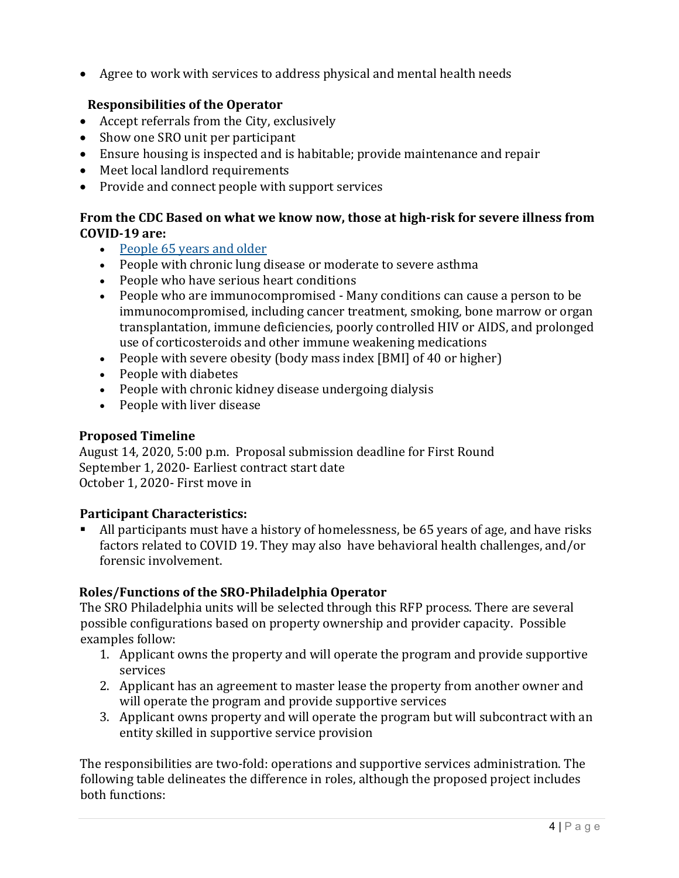• Agree to work with services to address physical and mental health needs

## **Responsibilities of the Operator**

- Accept referrals from the City, exclusively
- Show one SRO unit per participant
- Ensure housing is inspected and is habitable; provide maintenance and repair
- Meet local landlord requirements
- Provide and connect people with support services

### **From the CDC Based on what we know now, those at high-risk for severe illness from COVID-19 are:**

- [People 65 years and older](https://www.cdc.gov/coronavirus/2019-ncov/need-extra-precautions/older-adults.html)
- People with chronic lung disease or moderate to severe asthma
- People who have serious heart conditions
- People who are immunocompromised Many conditions can cause a person to be immunocompromised, including cancer treatment, smoking, bone marrow or organ transplantation, immune deficiencies, poorly controlled HIV or AIDS, and prolonged use of corticosteroids and other immune weakening medications
- People with severe obesity (body mass index [BMI] of 40 or higher)
- People with diabetes
- People with chronic kidney disease undergoing dialysis
- People with liver disease

## **Proposed Timeline**

August 14, 2020, 5:00 p.m. Proposal submission deadline for First Round September 1, 2020- Earliest contract start date October 1, 2020- First move in

## **Participant Characteristics:**

 All participants must have a history of homelessness, be 65 years of age, and have risks factors related to COVID 19. They may also have behavioral health challenges, and/or forensic involvement.

# **Roles/Functions of the SRO-Philadelphia Operator**

The SRO Philadelphia units will be selected through this RFP process. There are several possible configurations based on property ownership and provider capacity. Possible examples follow:

- 1. Applicant owns the property and will operate the program and provide supportive services
- 2. Applicant has an agreement to master lease the property from another owner and will operate the program and provide supportive services
- 3. Applicant owns property and will operate the program but will subcontract with an entity skilled in supportive service provision

The responsibilities are two-fold: operations and supportive services administration. The following table delineates the difference in roles, although the proposed project includes both functions: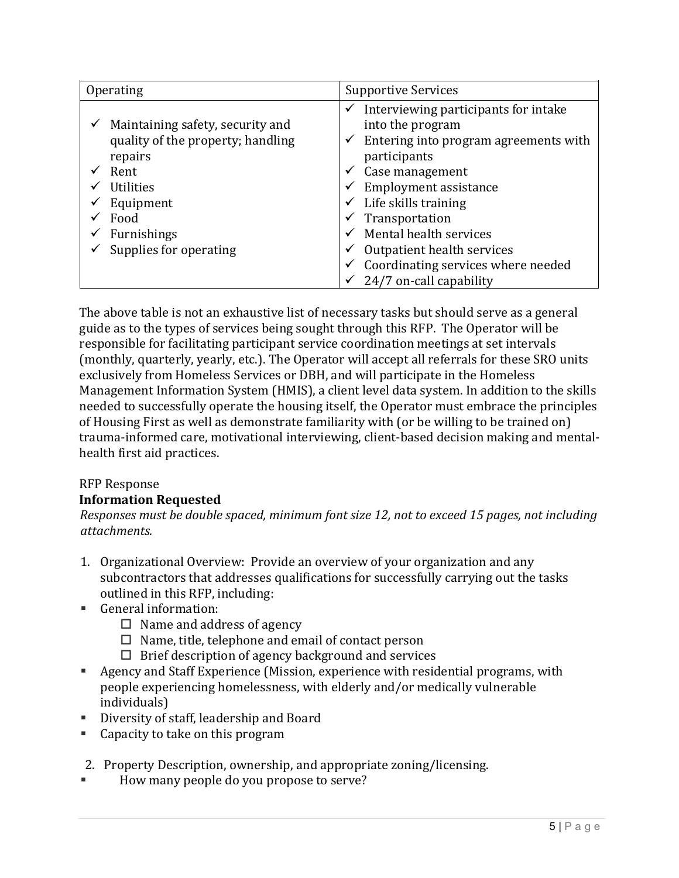| Operating          |                                                                       | <b>Supportive Services</b> |                                                                                                                   |
|--------------------|-----------------------------------------------------------------------|----------------------------|-------------------------------------------------------------------------------------------------------------------|
| repairs            | Maintaining safety, security and<br>quality of the property; handling | ✓<br>✓                     | Interviewing participants for intake<br>into the program<br>Entering into program agreements with<br>participants |
| Rent               |                                                                       |                            | Case management                                                                                                   |
| <b>Utilities</b>   |                                                                       |                            | <b>Employment assistance</b>                                                                                      |
| Equipment          |                                                                       |                            | Life skills training                                                                                              |
| Food               |                                                                       |                            | Transportation                                                                                                    |
| <b>Furnishings</b> |                                                                       |                            | Mental health services                                                                                            |
|                    | Supplies for operating                                                | ✓                          | Outpatient health services                                                                                        |
|                    |                                                                       |                            | Coordinating services where needed                                                                                |
|                    |                                                                       |                            | 24/7 on-call capability                                                                                           |

The above table is not an exhaustive list of necessary tasks but should serve as a general guide as to the types of services being sought through this RFP. The Operator will be responsible for facilitating participant service coordination meetings at set intervals (monthly, quarterly, yearly, etc.). The Operator will accept all referrals for these SRO units exclusively from Homeless Services or DBH, and will participate in the Homeless Management Information System (HMIS), a client level data system. In addition to the skills needed to successfully operate the housing itself, the Operator must embrace the principles of Housing First as well as demonstrate familiarity with (or be willing to be trained on) trauma-informed care, motivational interviewing, client-based decision making and mentalhealth first aid practices.

#### RFP Response **Information Requested**

*Responses must be double spaced, minimum font size 12, not to exceed 15 pages, not including attachments.* 

- 1. Organizational Overview: Provide an overview of your organization and any subcontractors that addresses qualifications for successfully carrying out the tasks outlined in this RFP, including:
- General information:
	- $\Box$  Name and address of agency
	- $\Box$  Name, title, telephone and email of contact person
	- $\Box$  Brief description of agency background and services
- Agency and Staff Experience (Mission, experience with residential programs, with people experiencing homelessness, with elderly and/or medically vulnerable individuals)
- Diversity of staff, leadership and Board
- Capacity to take on this program
- 2. Property Description, ownership, and appropriate zoning/licensing.
- How many people do you propose to serve?